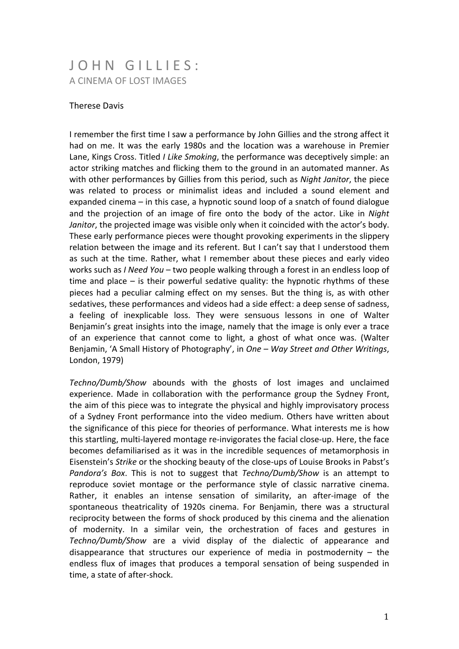## JOHN GILLIFS: A CINEMA OF LOST IMAGES

## **Therese Davis**

I remember the first time I saw a performance by John Gillies and the strong affect it had on me. It was the early 1980s and the location was a warehouse in Premier Lane, Kings Cross. Titled *I Like Smoking*, the performance was deceptively simple: an actor striking matches and flicking them to the ground in an automated manner. As with other performances by Gillies from this period, such as *Night Janitor*, the piece was related to process or minimalist ideas and included a sound element and expanded cinema – in this case, a hypnotic sound loop of a snatch of found dialogue and the projection of an image of fire onto the body of the actor. Like in *Night Janitor*, the projected image was visible only when it coincided with the actor's body. These early performance pieces were thought provoking experiments in the slippery relation between the image and its referent. But I can't say that I understood them as such at the time. Rather, what I remember about these pieces and early video works such as *I Need You* – two people walking through a forest in an endless loop of time and place  $-$  is their powerful sedative quality: the hypnotic rhythms of these pieces had a peculiar calming effect on my senses. But the thing is, as with other sedatives, these performances and videos had a side effect: a deep sense of sadness, a feeling of inexplicable loss. They were sensuous lessons in one of Walter Benjamin's great insights into the image, namely that the image is only ever a trace of an experience that cannot come to light, a ghost of what once was. (Walter Benjamin, 'A Small History of Photography', in *One – Way Street and Other Writings*, London, 1979)

*Techno/Dumb/Show*" abounds" with" the" ghosts of" lost" images" and" unclaimed" experience. Made in collaboration with the performance group the Sydney Front, the aim of this piece was to integrate the physical and highly improvisatory process of a Sydney Front performance into the video medium. Others have written about the significance of this piece for theories of performance. What interests me is how this startling, multi-layered montage re-invigorates the facial close-up. Here, the face becomes defamiliarised as it was in the incredible sequences of metamorphosis in Eisenstein's *Strike* or the shocking beauty of the close-ups of Louise Brooks in Pabst's *Pandora's Box*. This is not to suggest that *Techno/Dumb/Show* is an attempt to reproduce soviet montage or the performance style of classic narrative cinema. Rather, it enables an intense sensation of similarity, an after-image of the spontaneous theatricality of 1920s cinema. For Benjamin, there was a structural reciprocity between the forms of shock produced by this cinema and the alienation of modernity. In a similar vein, the orchestration of faces and gestures in *Techno/Dumb/Show* are a vivid display of the dialectic of appearance and disappearance that structures our experience of media in postmodernity  $-$  the endless flux of images that produces a temporal sensation of being suspended in time, a state of after-shock.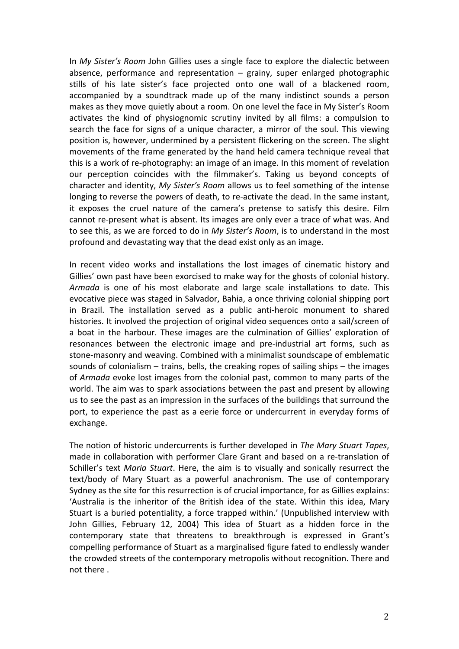In My Sister's Room John Gillies uses a single face to explore the dialectic between absence, performance and representation  $-$  grainy, super enlarged photographic stills of his late sister's face projected onto one wall of a blackened room, accompanied by a soundtrack made up of the many indistinct sounds a person makes as they move quietly about a room. On one level the face in My Sister's Room activates the kind of physiognomic scrutiny invited by all films: a compulsion to search the face for signs of a unique character, a mirror of the soul. This viewing position is, however, undermined by a persistent flickering on the screen. The slight movements of the frame generated by the hand held camera technique reveal that this is a work of re-photography: an image of an image. In this moment of revelation our perception coincides with the filmmaker's. Taking us beyond concepts of character and identity, My Sister's Room allows us to feel something of the intense longing to reverse the powers of death, to re-activate the dead. In the same instant, it exposes the cruel nature of the camera's pretense to satisfy this desire. Film cannot re-present what is absent. Its images are only ever a trace of what was. And to see this, as we are forced to do in My Sister's Room, is to understand in the most profound and devastating way that the dead exist only as an image.

In recent video works and installations the lost images of cinematic history and Gillies' own past have been exorcised to make way for the ghosts of colonial history. Armada is one of his most elaborate and large scale installations to date. This evocative piece was staged in Salvador, Bahia, a once thriving colonial shipping port in Brazil. The installation served as a public anti-heroic monument to shared histories. It involved the projection of original video sequences onto a sail/screen of a boat in the harbour. These images are the culmination of Gillies' exploration of resonances between the electronic image and pre-industrial art forms, such as stone-masonry and weaving. Combined with a minimalist soundscape of emblematic sounds of colonialism – trains, bells, the creaking ropes of sailing ships – the images of *Armada* evoke lost images from the colonial past, common to many parts of the world. The aim was to spark associations between the past and present by allowing us to see the past as an impression in the surfaces of the buildings that surround the port, to experience the past as a eerie force or undercurrent in everyday forms of exchange.

The notion of historic undercurrents is further developed in *The Mary Stuart Tapes*, made in collaboration with performer Clare Grant and based on a re-translation of Schiller's text *Maria Stuart*. Here, the aim is to visually and sonically resurrect the text/body of Mary Stuart as a powerful anachronism. The use of contemporary Sydney as the site for this resurrection is of crucial importance, for as Gillies explains: 'Australia is the inheritor of the British idea of the state. Within this idea, Mary Stuart is a buried potentiality, a force trapped within.' (Unpublished interview with John Gillies, February 12, 2004) This idea of Stuart as a hidden force in the contemporary state that threatens to breakthrough is expressed in Grant's compelling performance of Stuart as a marginalised figure fated to endlessly wander the crowded streets of the contemporary metropolis without recognition. There and not there.